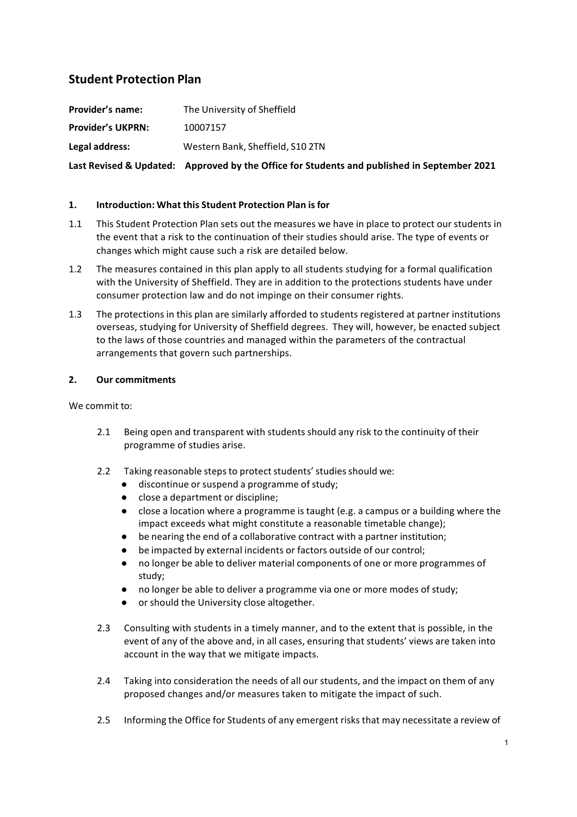# **Student Protection Plan**

**Provider's name:** The University of Sheffield **Provider's UKPRN:** 10007157 **Legal address:** Western Bank, Sheffield, S10 2TN Last Revised & Updated: Approved by the Office for Students and published in September 2021

# **1. Introduction: What this Student Protection Plan is for**

- 1.1 This Student Protection Plan sets out the measures we have in place to protect our students in the event that a risk to the continuation of their studies should arise. The type of events or changes which might cause such a risk are detailed below.
- 1.2 The measures contained in this plan apply to all students studying for a formal qualification with the University of Sheffield. They are in addition to the protections students have under consumer protection law and do not impinge on their consumer rights.
- 1.3 The protections in this plan are similarly afforded to students registered at partner institutions overseas, studying for University of Sheffield degrees. They will, however, be enacted subject to the laws of those countries and managed within the parameters of the contractual arrangements that govern such partnerships.

# **2. Our commitments**

We commit to:

- 2.1 Being open and transparent with students should any risk to the continuity of their programme of studies arise.
- 2.2 Taking reasonable steps to protect students' studies should we:
	- discontinue or suspend a programme of study;
	- close a department or discipline;
	- close a location where a programme is taught (e.g. a campus or a building where the impact exceeds what might constitute a reasonable timetable change);
	- be nearing the end of a collaborative contract with a partner institution;
	- be impacted by external incidents or factors outside of our control;
	- no longer be able to deliver material components of one or more programmes of study;
	- no longer be able to deliver a programme via one or more modes of study;
	- or should the University close altogether.
- 2.3 Consulting with students in a timely manner, and to the extent that is possible, in the event of any of the above and, in all cases, ensuring that students' views are taken into account in the way that we mitigate impacts.
- 2.4 Taking into consideration the needs of all our students, and the impact on them of any proposed changes and/or measures taken to mitigate the impact of such.
- 2.5 Informing the Office for Students of any emergent risks that may necessitate a review of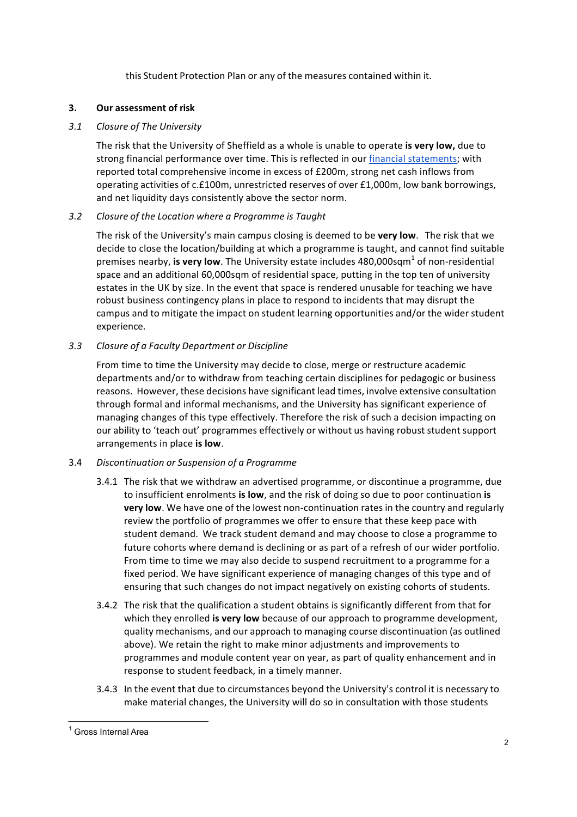this Student Protection Plan or any of the measures contained within it.

## **3. Our assessment of risk**

## *3.1 Closure of The University*

The risk that the University of Sheffield as a whole is unable to operate **is very low,** due to strong financial performance over time. This is reflected in our financial statements; with reported total comprehensive income in excess of £200m, strong net cash inflows from operating activities of c.£100m, unrestricted reserves of over £1,000m, low bank borrowings, and net liquidity days consistently above the sector norm.

# *3.2 Closure of the Location where a Programme is Taught*

The risk of the University's main campus closing is deemed to be very low. The risk that we decide to close the location/building at which a programme is taught, and cannot find suitable premises nearby, **is very low**. The University estate includes 480,000sqm<sup>1</sup> of non-residential space and an additional 60,000sqm of residential space, putting in the top ten of university estates in the UK by size. In the event that space is rendered unusable for teaching we have robust business contingency plans in place to respond to incidents that may disrupt the campus and to mitigate the impact on student learning opportunities and/or the wider student experience.

# *3.3 Closure of a Faculty Department or Discipline*

From time to time the University may decide to close, merge or restructure academic departments and/or to withdraw from teaching certain disciplines for pedagogic or business reasons. However, these decisions have significant lead times, involve extensive consultation through formal and informal mechanisms, and the University has significant experience of managing changes of this type effectively. Therefore the risk of such a decision impacting on our ability to 'teach out' programmes effectively or without us having robust student support arrangements in place is low.

#### 3.4 *Discontinuation or Suspension of a Programme*

- 3.4.1 The risk that we withdraw an advertised programme, or discontinue a programme, due to insufficient enrolments is low, and the risk of doing so due to poor continuation is **very low**. We have one of the lowest non-continuation rates in the country and regularly review the portfolio of programmes we offer to ensure that these keep pace with student demand. We track student demand and may choose to close a programme to future cohorts where demand is declining or as part of a refresh of our wider portfolio. From time to time we may also decide to suspend recruitment to a programme for a fixed period. We have significant experience of managing changes of this type and of ensuring that such changes do not impact negatively on existing cohorts of students.
- 3.4.2 The risk that the qualification a student obtains is significantly different from that for which they enrolled is very low because of our approach to programme development, quality mechanisms, and our approach to managing course discontinuation (as outlined above). We retain the right to make minor adjustments and improvements to programmes and module content year on year, as part of quality enhancement and in response to student feedback, in a timely manner.
- 3.4.3 In the event that due to circumstances beyond the University's control it is necessary to make material changes, the University will do so in consultation with those students

<sup>&</sup>lt;sup>1</sup> Gross Internal Area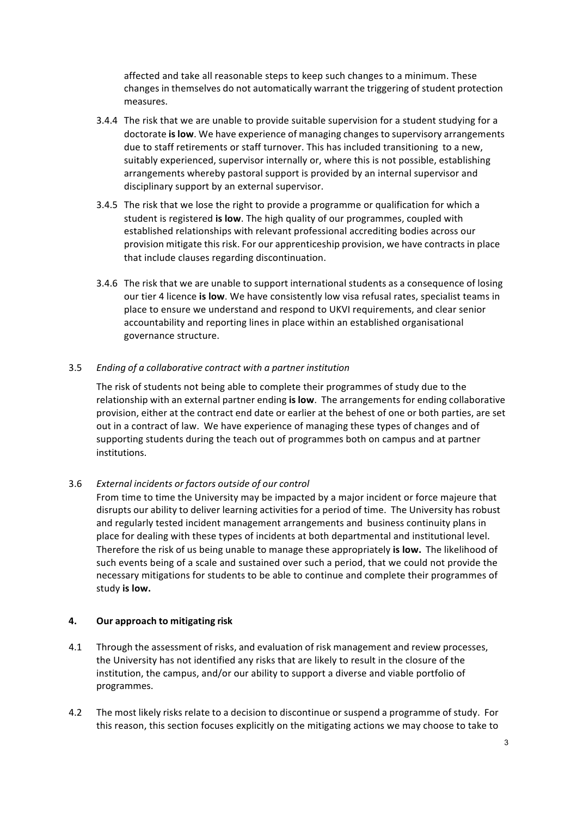affected and take all reasonable steps to keep such changes to a minimum. These changes in themselves do not automatically warrant the triggering of student protection measures.

- 3.4.4 The risk that we are unable to provide suitable supervision for a student studying for a doctorate **is low**. We have experience of managing changes to supervisory arrangements due to staff retirements or staff turnover. This has included transitioning to a new, suitably experienced, supervisor internally or, where this is not possible, establishing arrangements whereby pastoral support is provided by an internal supervisor and disciplinary support by an external supervisor.
- 3.4.5 The risk that we lose the right to provide a programme or qualification for which a student is registered is low. The high quality of our programmes, coupled with established relationships with relevant professional accrediting bodies across our provision mitigate this risk. For our apprenticeship provision, we have contracts in place that include clauses regarding discontinuation.
- 3.4.6 The risk that we are unable to support international students as a consequence of losing our tier 4 licence is low. We have consistently low visa refusal rates, specialist teams in place to ensure we understand and respond to UKVI requirements, and clear senior accountability and reporting lines in place within an established organisational governance structure.

# 3.5 *Ending of a collaborative contract with a partner institution*

The risk of students not being able to complete their programmes of study due to the relationship with an external partner ending **is low**. The arrangements for ending collaborative provision, either at the contract end date or earlier at the behest of one or both parties, are set out in a contract of law. We have experience of managing these types of changes and of supporting students during the teach out of programmes both on campus and at partner institutions.

#### 3.6 *External incidents or factors outside of our control*

From time to time the University may be impacted by a major incident or force majeure that disrupts our ability to deliver learning activities for a period of time. The University has robust and regularly tested incident management arrangements and business continuity plans in place for dealing with these types of incidents at both departmental and institutional level. Therefore the risk of us being unable to manage these appropriately **is low.** The likelihood of such events being of a scale and sustained over such a period, that we could not provide the necessary mitigations for students to be able to continue and complete their programmes of study is low.

#### **4. Our approach to mitigating risk**

- 4.1 Through the assessment of risks, and evaluation of risk management and review processes, the University has not identified any risks that are likely to result in the closure of the institution, the campus, and/or our ability to support a diverse and viable portfolio of programmes.
- 4.2 The most likely risks relate to a decision to discontinue or suspend a programme of study. For this reason, this section focuses explicitly on the mitigating actions we may choose to take to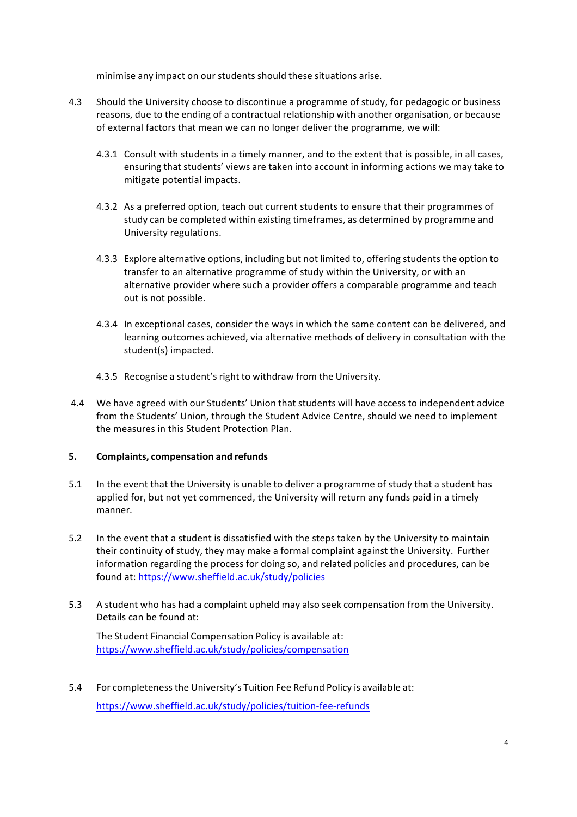minimise any impact on our students should these situations arise.

- 4.3 Should the University choose to discontinue a programme of study, for pedagogic or business reasons, due to the ending of a contractual relationship with another organisation, or because of external factors that mean we can no longer deliver the programme, we will:
	- 4.3.1 Consult with students in a timely manner, and to the extent that is possible, in all cases, ensuring that students' views are taken into account in informing actions we may take to mitigate potential impacts.
	- 4.3.2 As a preferred option, teach out current students to ensure that their programmes of study can be completed within existing timeframes, as determined by programme and University regulations.
	- 4.3.3 Explore alternative options, including but not limited to, offering students the option to transfer to an alternative programme of study within the University, or with an alternative provider where such a provider offers a comparable programme and teach out is not possible.
	- 4.3.4 In exceptional cases, consider the ways in which the same content can be delivered, and learning outcomes achieved, via alternative methods of delivery in consultation with the student(s) impacted.
	- 4.3.5 Recognise a student's right to withdraw from the University.
- 4.4 We have agreed with our Students' Union that students will have access to independent advice from the Students' Union, through the Student Advice Centre, should we need to implement the measures in this Student Protection Plan.

#### **5. Complaints, compensation and refunds**

- 5.1 In the event that the University is unable to deliver a programme of study that a student has applied for, but not yet commenced, the University will return any funds paid in a timely manner.
- 5.2 In the event that a student is dissatisfied with the steps taken by the University to maintain their continuity of study, they may make a formal complaint against the University. Further information regarding the process for doing so, and related policies and procedures, can be found at: https://www.sheffield.ac.uk/study/policies
- 5.3 A student who has had a complaint upheld may also seek compensation from the University. Details can be found at:

The Student Financial Compensation Policy is available at: https://www.sheffield.ac.uk/study/policies/compensation

5.4 For completenessthe University's Tuition Fee Refund Policy is available at: https://www.sheffield.ac.uk/study/policies/tuition-fee-refunds